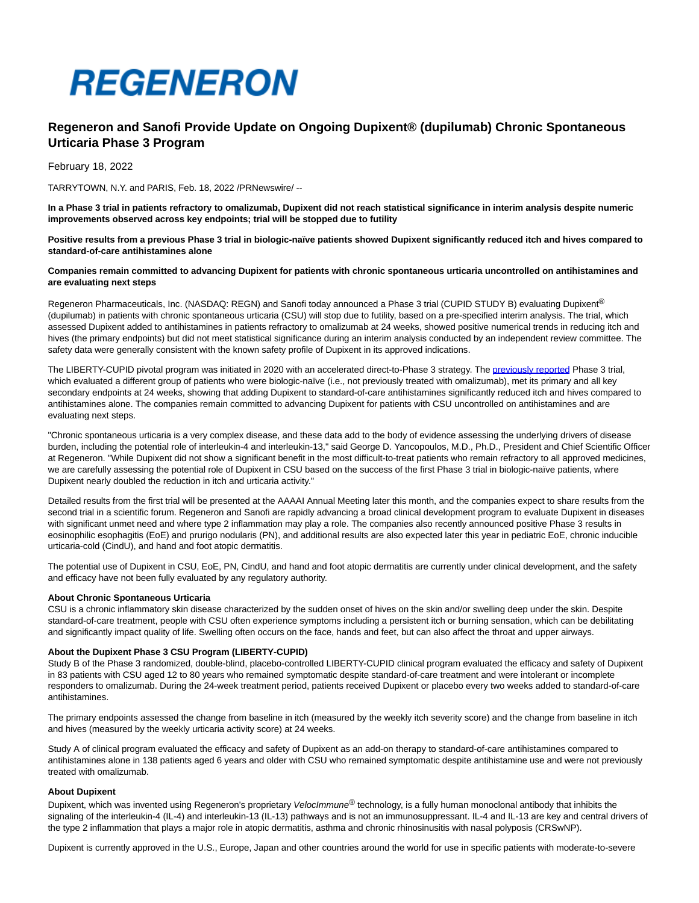

# **Regeneron and Sanofi Provide Update on Ongoing Dupixent® (dupilumab) Chronic Spontaneous Urticaria Phase 3 Program**

February 18, 2022

TARRYTOWN, N.Y. and PARIS, Feb. 18, 2022 /PRNewswire/ --

**In a Phase 3 trial in patients refractory to omalizumab, Dupixent did not reach statistical significance in interim analysis despite numeric improvements observed across key endpoints; trial will be stopped due to futility**

**Positive results from a previous Phase 3 trial in biologic-naïve patients showed Dupixent significantly reduced itch and hives compared to standard-of-care antihistamines alone**

## **Companies remain committed to advancing Dupixent for patients with chronic spontaneous urticaria uncontrolled on antihistamines and are evaluating next steps**

Regeneron Pharmaceuticals, Inc. (NASDAQ: REGN) and Sanofi today announced a Phase 3 trial (CUPID STUDY B) evaluating Dupixent® (dupilumab) in patients with chronic spontaneous urticaria (CSU) will stop due to futility, based on a pre-specified interim analysis. The trial, which assessed Dupixent added to antihistamines in patients refractory to omalizumab at 24 weeks, showed positive numerical trends in reducing itch and hives (the primary endpoints) but did not meet statistical significance during an interim analysis conducted by an independent review committee. The safety data were generally consistent with the known safety profile of Dupixent in its approved indications.

The LIBERTY-CUPID pivotal program was initiated in 2020 with an accelerated direct-to-Phase 3 strategy. The [previously reported P](https://c212.net/c/link/?t=0&l=en&o=3448257-1&h=2193666955&u=https%3A%2F%2Fnewsroom.regeneron.com%2Fnews-releases%2Fnews-release-details%2Fdupixentr-dupilumab-significantly-improved-itch-and-hives&a=previously+reported)hase 3 trial, which evaluated a different group of patients who were biologic-naïve (i.e., not previously treated with omalizumab), met its primary and all key secondary endpoints at 24 weeks, showing that adding Dupixent to standard-of-care antihistamines significantly reduced itch and hives compared to antihistamines alone. The companies remain committed to advancing Dupixent for patients with CSU uncontrolled on antihistamines and are evaluating next steps.

"Chronic spontaneous urticaria is a very complex disease, and these data add to the body of evidence assessing the underlying drivers of disease burden, including the potential role of interleukin-4 and interleukin-13," said George D. Yancopoulos, M.D., Ph.D., President and Chief Scientific Officer at Regeneron. "While Dupixent did not show a significant benefit in the most difficult-to-treat patients who remain refractory to all approved medicines, we are carefully assessing the potential role of Dupixent in CSU based on the success of the first Phase 3 trial in biologic-naïve patients, where Dupixent nearly doubled the reduction in itch and urticaria activity."

Detailed results from the first trial will be presented at the AAAAI Annual Meeting later this month, and the companies expect to share results from the second trial in a scientific forum. Regeneron and Sanofi are rapidly advancing a broad clinical development program to evaluate Dupixent in diseases with significant unmet need and where type 2 inflammation may play a role. The companies also recently announced positive Phase 3 results in eosinophilic esophagitis (EoE) and prurigo nodularis (PN), and additional results are also expected later this year in pediatric EoE, chronic inducible urticaria-cold (CindU), and hand and foot atopic dermatitis.

The potential use of Dupixent in CSU, EoE, PN, CindU, and hand and foot atopic dermatitis are currently under clinical development, and the safety and efficacy have not been fully evaluated by any regulatory authority.

#### **About Chronic Spontaneous Urticaria**

CSU is a chronic inflammatory skin disease characterized by the sudden onset of hives on the skin and/or swelling deep under the skin. Despite standard-of-care treatment, people with CSU often experience symptoms including a persistent itch or burning sensation, which can be debilitating and significantly impact quality of life. Swelling often occurs on the face, hands and feet, but can also affect the throat and upper airways.

## **About the Dupixent Phase 3 CSU Program (LIBERTY-CUPID)**

Study B of the Phase 3 randomized, double-blind, placebo-controlled LIBERTY-CUPID clinical program evaluated the efficacy and safety of Dupixent in 83 patients with CSU aged 12 to 80 years who remained symptomatic despite standard-of-care treatment and were intolerant or incomplete responders to omalizumab. During the 24-week treatment period, patients received Dupixent or placebo every two weeks added to standard-of-care antihistamines.

The primary endpoints assessed the change from baseline in itch (measured by the weekly itch severity score) and the change from baseline in itch and hives (measured by the weekly urticaria activity score) at 24 weeks.

Study A of clinical program evaluated the efficacy and safety of Dupixent as an add-on therapy to standard-of-care antihistamines compared to antihistamines alone in 138 patients aged 6 years and older with CSU who remained symptomatic despite antihistamine use and were not previously treated with omalizumab.

### **About Dupixent**

Dupixent, which was invented using Regeneron's proprietary VelocImmune<sup>®</sup> technology, is a fully human monoclonal antibody that inhibits the signaling of the interleukin-4 (IL-4) and interleukin-13 (IL-13) pathways and is not an immunosuppressant. IL-4 and IL-13 are key and central drivers of the type 2 inflammation that plays a major role in atopic dermatitis, asthma and chronic rhinosinusitis with nasal polyposis (CRSwNP).

Dupixent is currently approved in the U.S., Europe, Japan and other countries around the world for use in specific patients with moderate-to-severe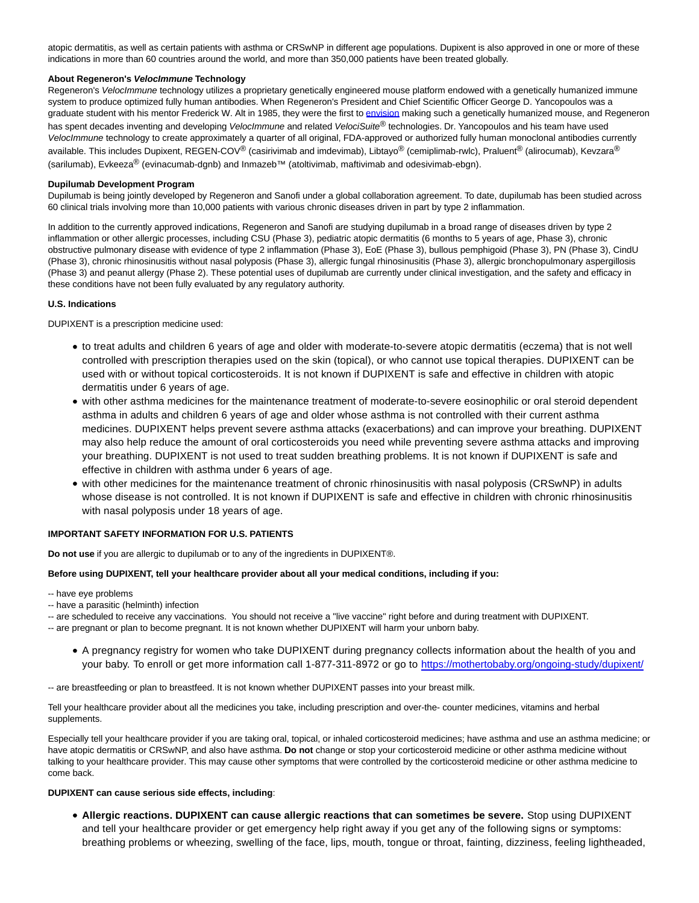atopic dermatitis, as well as certain patients with asthma or CRSwNP in different age populations. Dupixent is also approved in one or more of these indications in more than 60 countries around the world, and more than 350,000 patients have been treated globally.

# **About Regeneron's VelocImmune Technology**

Regeneron's VelocImmune technology utilizes a proprietary genetically engineered mouse platform endowed with a genetically humanized immune system to produce optimized fully human antibodies. When Regeneron's President and Chief Scientific Officer George D. Yancopoulos was a graduate student with his mentor Frederick W. Alt in 1985, they were the first to [envision m](https://c212.net/c/link/?t=0&l=en&o=3448257-1&h=1725477083&u=https%3A%2F%2Fwww.sciencedirect.com%2Fscience%2Farticle%2Fabs%2Fpii%2F0168952585900897&a=envision)aking such a genetically humanized mouse, and Regeneron has spent decades inventing and developing VelocImmune and related VelociSuite® technologies. Dr. Yancopoulos and his team have used VelocImmune technology to create approximately a quarter of all original, FDA-approved or authorized fully human monoclonal antibodies currently available. This includes Dupixent, REGEN-COV<sup>®</sup> (casirivimab and imdevimab), Libtayo<sup>®</sup> (cemiplimab-rwlc), Praluent<sup>®</sup> (alirocumab), Kevzara<sup>®</sup> (sarilumab), Evkeeza® (evinacumab-dgnb) and Inmazeb™ (atoltivimab, maftivimab and odesivimab-ebgn).

## **Dupilumab Development Program**

Dupilumab is being jointly developed by Regeneron and Sanofi under a global collaboration agreement. To date, dupilumab has been studied across 60 clinical trials involving more than 10,000 patients with various chronic diseases driven in part by type 2 inflammation.

In addition to the currently approved indications, Regeneron and Sanofi are studying dupilumab in a broad range of diseases driven by type 2 inflammation or other allergic processes, including CSU (Phase 3), pediatric atopic dermatitis (6 months to 5 years of age, Phase 3), chronic obstructive pulmonary disease with evidence of type 2 inflammation (Phase 3), EoE (Phase 3), bullous pemphigoid (Phase 3), PN (Phase 3), CindU (Phase 3), chronic rhinosinusitis without nasal polyposis (Phase 3), allergic fungal rhinosinusitis (Phase 3), allergic bronchopulmonary aspergillosis (Phase 3) and peanut allergy (Phase 2). These potential uses of dupilumab are currently under clinical investigation, and the safety and efficacy in these conditions have not been fully evaluated by any regulatory authority.

## **U.S. Indications**

DUPIXENT is a prescription medicine used:

- to treat adults and children 6 years of age and older with moderate-to-severe atopic dermatitis (eczema) that is not well controlled with prescription therapies used on the skin (topical), or who cannot use topical therapies. DUPIXENT can be used with or without topical corticosteroids. It is not known if DUPIXENT is safe and effective in children with atopic dermatitis under 6 years of age.
- with other asthma medicines for the maintenance treatment of moderate-to-severe eosinophilic or oral steroid dependent asthma in adults and children 6 years of age and older whose asthma is not controlled with their current asthma medicines. DUPIXENT helps prevent severe asthma attacks (exacerbations) and can improve your breathing. DUPIXENT may also help reduce the amount of oral corticosteroids you need while preventing severe asthma attacks and improving your breathing. DUPIXENT is not used to treat sudden breathing problems. It is not known if DUPIXENT is safe and effective in children with asthma under 6 years of age.
- with other medicines for the maintenance treatment of chronic rhinosinusitis with nasal polyposis (CRSwNP) in adults whose disease is not controlled. It is not known if DUPIXENT is safe and effective in children with chronic rhinosinusitis with nasal polyposis under 18 years of age.

# **IMPORTANT SAFETY INFORMATION FOR U.S. PATIENTS**

**Do not use** if you are allergic to dupilumab or to any of the ingredients in DUPIXENT®.

# **Before using DUPIXENT, tell your healthcare provider about all your medical conditions, including if you:**

- -- have eye problems
- -- have a parasitic (helminth) infection
- -- are scheduled to receive any vaccinations. You should not receive a "live vaccine" right before and during treatment with DUPIXENT.
- -- are pregnant or plan to become pregnant. It is not known whether DUPIXENT will harm your unborn baby.
	- A pregnancy registry for women who take DUPIXENT during pregnancy collects information about the health of you and your baby. To enroll or get more information call 1-877-311-8972 or go to<https://mothertobaby.org/ongoing-study/dupixent/>

-- are breastfeeding or plan to breastfeed. It is not known whether DUPIXENT passes into your breast milk.

Tell your healthcare provider about all the medicines you take, including prescription and over-the- counter medicines, vitamins and herbal supplements.

Especially tell your healthcare provider if you are taking oral, topical, or inhaled corticosteroid medicines; have asthma and use an asthma medicine; or have atopic dermatitis or CRSwNP, and also have asthma. **Do not** change or stop your corticosteroid medicine or other asthma medicine without talking to your healthcare provider. This may cause other symptoms that were controlled by the corticosteroid medicine or other asthma medicine to come back.

#### **DUPIXENT can cause serious side effects, including**:

**Allergic reactions. DUPIXENT can cause allergic reactions that can sometimes be severe.** Stop using DUPIXENT and tell your healthcare provider or get emergency help right away if you get any of the following signs or symptoms: breathing problems or wheezing, swelling of the face, lips, mouth, tongue or throat, fainting, dizziness, feeling lightheaded,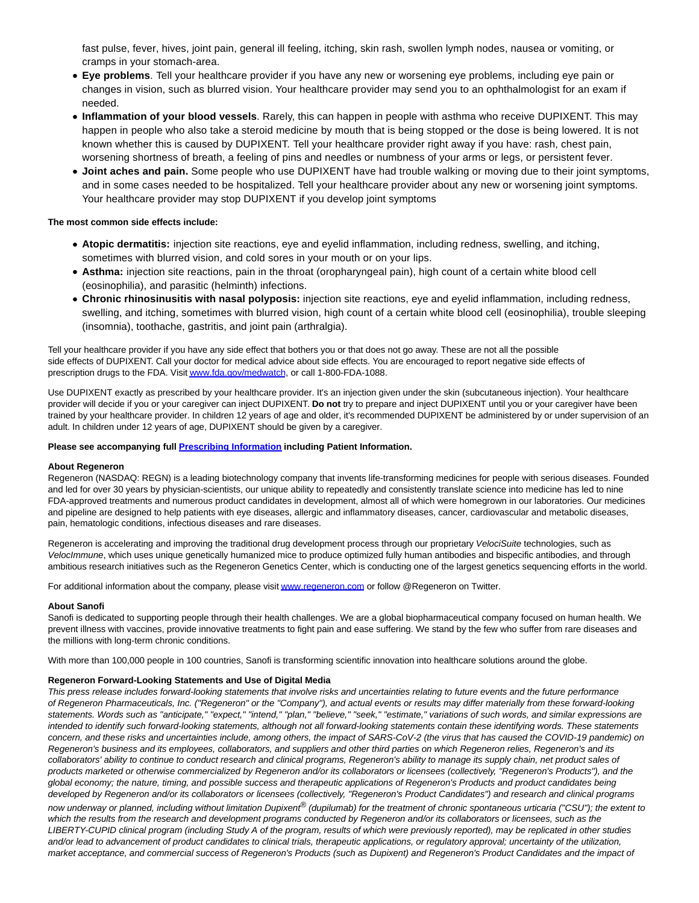fast pulse, fever, hives, joint pain, general ill feeling, itching, skin rash, swollen lymph nodes, nausea or vomiting, or cramps in your stomach-area.

- **Eye problems**. Tell your healthcare provider if you have any new or worsening eye problems, including eye pain or changes in vision, such as blurred vision. Your healthcare provider may send you to an ophthalmologist for an exam if needed.
- **Inflammation of your blood vessels**. Rarely, this can happen in people with asthma who receive DUPIXENT. This may happen in people who also take a steroid medicine by mouth that is being stopped or the dose is being lowered. It is not known whether this is caused by DUPIXENT. Tell your healthcare provider right away if you have: rash, chest pain, worsening shortness of breath, a feeling of pins and needles or numbness of your arms or legs, or persistent fever.
- **Joint aches and pain.** Some people who use DUPIXENT have had trouble walking or moving due to their joint symptoms, and in some cases needed to be hospitalized. Tell your healthcare provider about any new or worsening joint symptoms. Your healthcare provider may stop DUPIXENT if you develop joint symptoms

# **The most common side effects include:**

- **Atopic dermatitis:** injection site reactions, eye and eyelid inflammation, including redness, swelling, and itching, sometimes with blurred vision, and cold sores in your mouth or on your lips.
- **Asthma:** injection site reactions, pain in the throat (oropharyngeal pain), high count of a certain white blood cell (eosinophilia), and parasitic (helminth) infections.
- **Chronic rhinosinusitis with nasal polyposis:** injection site reactions, eye and eyelid inflammation, including redness, swelling, and itching, sometimes with blurred vision, high count of a certain white blood cell (eosinophilia), trouble sleeping (insomnia), toothache, gastritis, and joint pain (arthralgia).

Tell your healthcare provider if you have any side effect that bothers you or that does not go away. These are not all the possible side effects of DUPIXENT. Call your doctor for medical advice about side effects. You are encouraged to report negative side effects of prescription drugs to the FDA. Visi[t www.fda.gov/medwatch,](https://c212.net/c/link/?t=0&l=en&o=3448257-1&h=4273317837&u=http%3A%2F%2Fwww.fda.gov%2Fmedwatch&a=www.fda.gov%2Fmedwatch) or call 1-800-FDA-1088.

Use DUPIXENT exactly as prescribed by your healthcare provider. It's an injection given under the skin (subcutaneous injection). Your healthcare provider will decide if you or your caregiver can inject DUPIXENT. **Do not** try to prepare and inject DUPIXENT until you or your caregiver have been trained by your healthcare provider. In children 12 years of age and older, it's recommended DUPIXENT be administered by or under supervision of an adult. In children under 12 years of age, DUPIXENT should be given by a caregiver.

# **Please see accompanying full [Prescribing Information](https://c212.net/c/link/?t=0&l=en&o=3448257-1&h=1135586274&u=https%3A%2F%2Fwww.regeneron.com%2Fsites%2Fdefault%2Ffiles%2FDupixent_FPI.pdf&a=Prescribing%C2%A0Information) including Patient Information.**

# **About Regeneron**

Regeneron (NASDAQ: REGN) is a leading biotechnology company that invents life-transforming medicines for people with serious diseases. Founded and led for over 30 years by physician-scientists, our unique ability to repeatedly and consistently translate science into medicine has led to nine FDA-approved treatments and numerous product candidates in development, almost all of which were homegrown in our laboratories. Our medicines and pipeline are designed to help patients with eye diseases, allergic and inflammatory diseases, cancer, cardiovascular and metabolic diseases, pain, hematologic conditions, infectious diseases and rare diseases.

Regeneron is accelerating and improving the traditional drug development process through our proprietary VelociSuite technologies, such as VelocImmune, which uses unique genetically humanized mice to produce optimized fully human antibodies and bispecific antibodies, and through ambitious research initiatives such as the Regeneron Genetics Center, which is conducting one of the largest genetics sequencing efforts in the world.

For additional information about the company, please visi[t www.regeneron.com o](https://c212.net/c/link/?t=0&l=en&o=3448257-1&h=3605985962&u=http%3A%2F%2Fwww.regeneron.com%2F&a=www.regeneron.com)r follow @Regeneron on Twitter.

# **About Sanofi**

Sanofi is dedicated to supporting people through their health challenges. We are a global biopharmaceutical company focused on human health. We prevent illness with vaccines, provide innovative treatments to fight pain and ease suffering. We stand by the few who suffer from rare diseases and the millions with long-term chronic conditions.

With more than 100,000 people in 100 countries, Sanofi is transforming scientific innovation into healthcare solutions around the globe.

# **Regeneron Forward-Looking Statements and Use of Digital Media**

This press release includes forward-looking statements that involve risks and uncertainties relating to future events and the future performance of Regeneron Pharmaceuticals, Inc. ("Regeneron" or the "Company"), and actual events or results may differ materially from these forward-looking statements. Words such as "anticipate," "expect," "intend," "plan," "believe," "seek," "estimate," variations of such words, and similar expressions are intended to identify such forward-looking statements, although not all forward-looking statements contain these identifying words. These statements concern, and these risks and uncertainties include, among others, the impact of SARS-CoV-2 (the virus that has caused the COVID-19 pandemic) on Regeneron's business and its employees, collaborators, and suppliers and other third parties on which Regeneron relies, Regeneron's and its collaborators' ability to continue to conduct research and clinical programs, Regeneron's ability to manage its supply chain, net product sales of products marketed or otherwise commercialized by Regeneron and/or its collaborators or licensees (collectively, "Regeneron's Products"), and the global economy; the nature, timing, and possible success and therapeutic applications of Regeneron's Products and product candidates being developed by Regeneron and/or its collaborators or licensees (collectively, "Regeneron's Product Candidates") and research and clinical programs now underway or planned, including without limitation Dupixent<sup>®</sup> (dupilumab) for the treatment of chronic spontaneous urticaria ("CSU"); the extent to which the results from the research and development programs conducted by Regeneron and/or its collaborators or licensees, such as the LIBERTY-CUPID clinical program (including Study A of the program, results of which were previously reported), may be replicated in other studies and/or lead to advancement of product candidates to clinical trials, therapeutic applications, or regulatory approval; uncertainty of the utilization, market acceptance, and commercial success of Regeneron's Products (such as Dupixent) and Regeneron's Product Candidates and the impact of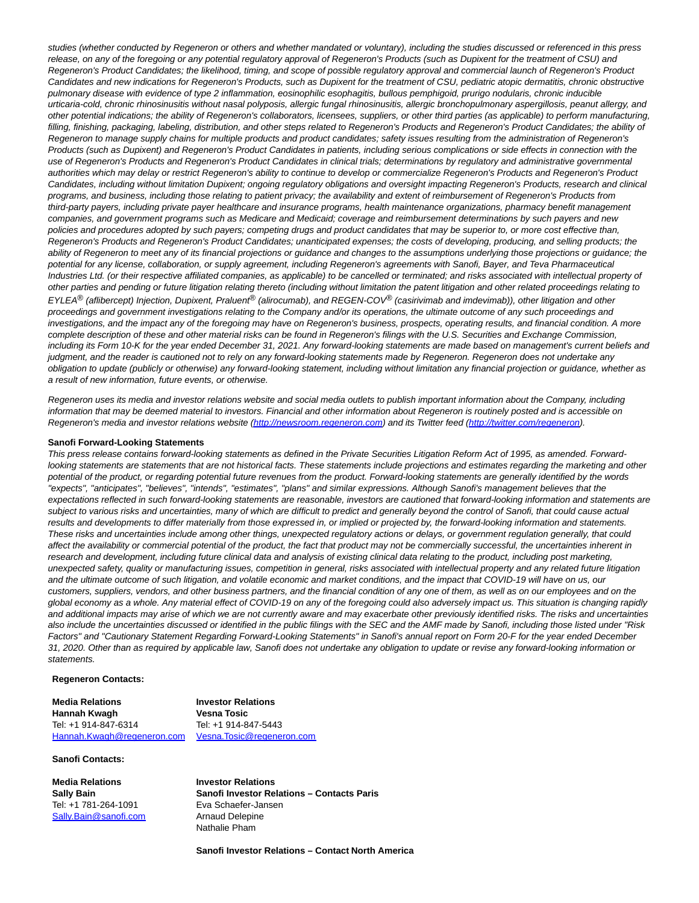studies (whether conducted by Regeneron or others and whether mandated or voluntary), including the studies discussed or referenced in this press release, on any of the foregoing or any potential regulatory approval of Regeneron's Products (such as Dupixent for the treatment of CSU) and Regeneron's Product Candidates; the likelihood, timing, and scope of possible regulatory approval and commercial launch of Regeneron's Product Candidates and new indications for Regeneron's Products, such as Dupixent for the treatment of CSU, pediatric atopic dermatitis, chronic obstructive pulmonary disease with evidence of type 2 inflammation, eosinophilic esophagitis, bullous pemphigoid, prurigo nodularis, chronic inducible urticaria-cold, chronic rhinosinusitis without nasal polyposis, allergic fungal rhinosinusitis, allergic bronchopulmonary aspergillosis, peanut allergy, and other potential indications; the ability of Regeneron's collaborators, licensees, suppliers, or other third parties (as applicable) to perform manufacturing, filling, finishing, packaging, labeling, distribution, and other steps related to Regeneron's Products and Regeneron's Product Candidates; the ability of Regeneron to manage supply chains for multiple products and product candidates; safety issues resulting from the administration of Regeneron's Products (such as Dupixent) and Regeneron's Product Candidates in patients, including serious complications or side effects in connection with the use of Regeneron's Products and Regeneron's Product Candidates in clinical trials; determinations by regulatory and administrative governmental authorities which may delay or restrict Regeneron's ability to continue to develop or commercialize Regeneron's Products and Regeneron's Product Candidates, including without limitation Dupixent; ongoing regulatory obligations and oversight impacting Regeneron's Products, research and clinical programs, and business, including those relating to patient privacy; the availability and extent of reimbursement of Regeneron's Products from third-party payers, including private payer healthcare and insurance programs, health maintenance organizations, pharmacy benefit management companies, and government programs such as Medicare and Medicaid; coverage and reimbursement determinations by such payers and new policies and procedures adopted by such payers; competing drugs and product candidates that may be superior to, or more cost effective than, Regeneron's Products and Regeneron's Product Candidates; unanticipated expenses; the costs of developing, producing, and selling products; the ability of Regeneron to meet any of its financial projections or guidance and changes to the assumptions underlying those projections or guidance; the potential for any license, collaboration, or supply agreement, including Regeneron's agreements with Sanofi, Bayer, and Teva Pharmaceutical Industries Ltd. (or their respective affiliated companies, as applicable) to be cancelled or terminated; and risks associated with intellectual property of other parties and pending or future litigation relating thereto (including without limitation the patent litigation and other related proceedings relating to EYLEA® (aflibercept) Injection, Dupixent, Praluent® (alirocumab), and REGEN-COV® (casirivimab and imdevimab)), other litigation and other proceedings and government investigations relating to the Company and/or its operations, the ultimate outcome of any such proceedings and investigations, and the impact any of the foregoing may have on Regeneron's business, prospects, operating results, and financial condition. A more complete description of these and other material risks can be found in Regeneron's filings with the U.S. Securities and Exchange Commission, including its Form 10-K for the year ended December 31, 2021. Any forward-looking statements are made based on management's current beliefs and judgment, and the reader is cautioned not to rely on any forward-looking statements made by Regeneron. Regeneron does not undertake any obligation to update (publicly or otherwise) any forward-looking statement, including without limitation any financial projection or guidance, whether as a result of new information, future events, or otherwise.

Regeneron uses its media and investor relations website and social media outlets to publish important information about the Company, including information that may be deemed material to investors. Financial and other information about Regeneron is routinely posted and is accessible on Regeneron's media and investor relations website [\(http://newsroom.regeneron.com\)](https://c212.net/c/link/?t=0&l=en&o=3448257-1&h=4287070672&u=http%3A%2F%2Fnewsroom.regeneron.com%2F&a=http%3A%2F%2Fnewsroom.regeneron.com) and its Twitter feed [\(http://twitter.com/regeneron\).](https://c212.net/c/link/?t=0&l=en&o=3448257-1&h=4191567399&u=https%3A%2F%2Fc212.net%2Fc%2Flink%2F%3Ft%3D0%26l%3Den%26o%3D3387026-1%26h%3D619644995%26u%3Dhttp%253A%252F%252Ftwitter.com%252Fregeneron%26a%3Dhttp%253A%252F%252Ftwitter.com%252Fregeneron&a=http%3A%2F%2Ftwitter.com%2Fregeneron)

#### **Sanofi Forward-Looking Statements**

This press release contains forward-looking statements as defined in the Private Securities Litigation Reform Act of 1995, as amended. Forwardlooking statements are statements that are not historical facts. These statements include projections and estimates regarding the marketing and other potential of the product, or regarding potential future revenues from the product. Forward-looking statements are generally identified by the words "expects", "anticipates", "believes", "intends", "estimates", "plans" and similar expressions. Although Sanofi's management believes that the expectations reflected in such forward-looking statements are reasonable, investors are cautioned that forward-looking information and statements are subject to various risks and uncertainties, many of which are difficult to predict and generally beyond the control of Sanofi, that could cause actual results and developments to differ materially from those expressed in, or implied or projected by, the forward-looking information and statements. These risks and uncertainties include among other things, unexpected regulatory actions or delays, or government regulation generally, that could affect the availability or commercial potential of the product, the fact that product may not be commercially successful, the uncertainties inherent in research and development, including future clinical data and analysis of existing clinical data relating to the product, including post marketing, unexpected safety, quality or manufacturing issues, competition in general, risks associated with intellectual property and any related future litigation and the ultimate outcome of such litigation, and volatile economic and market conditions, and the impact that COVID-19 will have on us, our customers, suppliers, vendors, and other business partners, and the financial condition of any one of them, as well as on our employees and on the global economy as a whole. Any material effect of COVID-19 on any of the foregoing could also adversely impact us. This situation is changing rapidly and additional impacts may arise of which we are not currently aware and may exacerbate other previously identified risks. The risks and uncertainties also include the uncertainties discussed or identified in the public filings with the SEC and the AMF made by Sanofi, including those listed under "Risk Factors" and "Cautionary Statement Regarding Forward-Looking Statements" in Sanofi's annual report on Form 20-F for the year ended December 31, 2020. Other than as required by applicable law, Sanofi does not undertake any obligation to update or revise any forward-looking information or statements.

#### **Regeneron Contacts:**

**Media Relations Investor Relations Hannah Kwagh Vesna Tosic** Tel: +1 914-847-6314 Tel: +1 914-847-5443 [Hannah.Kwagh@regeneron.com](mailto:Hannah.Kwagh@regeneron.com) [Vesna.Tosic@regeneron.com](mailto:Vesna.Tosic@regeneron.com) 

## **Sanofi Contacts:**

**Media Relations Investor Relations** Tel: +1 781-264-1091 Eva Schaefer-Jansen [Sally.Bain@sanofi.com](mailto:Sally.Bain@sanofi.com) Arnaud Delepine

**Sally Bain Sanofi Investor Relations – Contacts Paris** Nathalie Pham

**Sanofi Investor Relations – Contact North America**